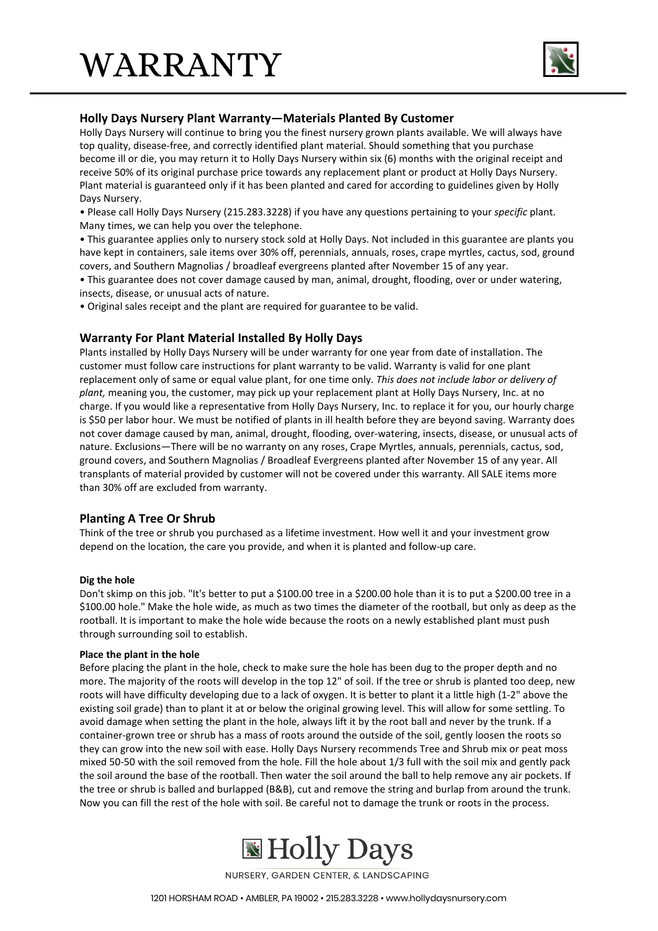

## **Holly Days Nursery Plant Warranty—Materials Planted By Customer**

Holly Days Nursery will continue to bring you the finest nursery grown plants available. We will always have top quality, disease-free, and correctly identified plant material. Should something that you purchase become ill or die, you may return it to Holly Days Nursery within six (6) months with the original receipt and receive 50% of its original purchase price towards any replacement plant or product at Holly Days Nursery. Plant material is guaranteed only if it has been planted and cared for according to guidelines given by Holly Days Nursery.

• Please call Holly Days Nursery (215.283.3228) if you have any questions pertaining to your *specific* plant. Many times, we can help you over the telephone.

• This guarantee applies only to nursery stock sold at Holly Days. Not included in this guarantee are plants you have kept in containers, sale items over 30% off, perennials, annuals, roses, crape myrtles, cactus, sod, ground covers, and Southern Magnolias / broadleaf evergreens planted after November 15 of any year.

• This guarantee does not cover damage caused by man, animal, drought, flooding, over or under watering, insects, disease, or unusual acts of nature.

• Original sales receipt and the plant are required for guarantee to be valid.

## **Warranty For Plant Material Installed By Holly Days**

Plants installed by Holly Days Nursery will be under warranty for one year from date of installation. The customer must follow care instructions for plant warranty to be valid. Warranty is valid for one plant replacement only of same or equal value plant, for one time only. *This does not include labor or delivery of plant,* meaning you, the customer, may pick up your replacement plant at Holly Days Nursery, Inc. at no charge. If you would like a representative from Holly Days Nursery, Inc. to replace it for you, our hourly charge is \$50 per labor hour. We must be notified of plants in ill health before they are beyond saving. Warranty does not cover damage caused by man, animal, drought, flooding, over-watering, insects, disease, or unusual acts of nature. Exclusions—There will be no warranty on any roses, Crape Myrtles, annuals, perennials, cactus, sod, ground covers, and Southern Magnolias / Broadleaf Evergreens planted after November 15 of any year. All transplants of material provided by customer will not be covered under this warranty. All SALE items more than 30% off are excluded from warranty.

## **Planting A Tree Or Shrub**

Think of the tree or shrub you purchased as a lifetime investment. How well it and your investment grow depend on the location, the care you provide, and when it is planted and follow-up care.

#### **Dig the hole**

Don't skimp on this job. "It's better to put a \$100.00 tree in a \$200.00 hole than it is to put a \$200.00 tree in a \$100.00 hole." Make the hole wide, as much as two times the diameter of the rootball, but only as deep as the rootball. It is important to make the hole wide because the roots on a newly established plant must push through surrounding soil to establish.

#### **Place the plant in the hole**

Before placing the plant in the hole, check to make sure the hole has been dug to the proper depth and no more. The majority of the roots will develop in the top 12" of soil. If the tree or shrub is planted too deep, new roots will have difficulty developing due to a lack of oxygen. It is better to plant it a little high (1-2" above the existing soil grade) than to plant it at or below the original growing level. This will allow for some settling. To avoid damage when setting the plant in the hole, always lift it by the root ball and never by the trunk. If a container-grown tree or shrub has a mass of roots around the outside of the soil, gently loosen the roots so they can grow into the new soil with ease. Holly Days Nursery recommends Tree and Shrub mix or peat moss mixed 50-50 with the soil removed from the hole. Fill the hole about 1/3 full with the soil mix and gently pack the soil around the base of the rootball. Then water the soil around the ball to help remove any air pockets. If the tree or shrub is balled and burlapped (B&B), cut and remove the string and burlap from around the trunk. Now you can fill the rest of the hole with soil. Be careful not to damage the trunk or roots in the process.



NURSERY, GARDEN CENTER, & LANDSCAPING